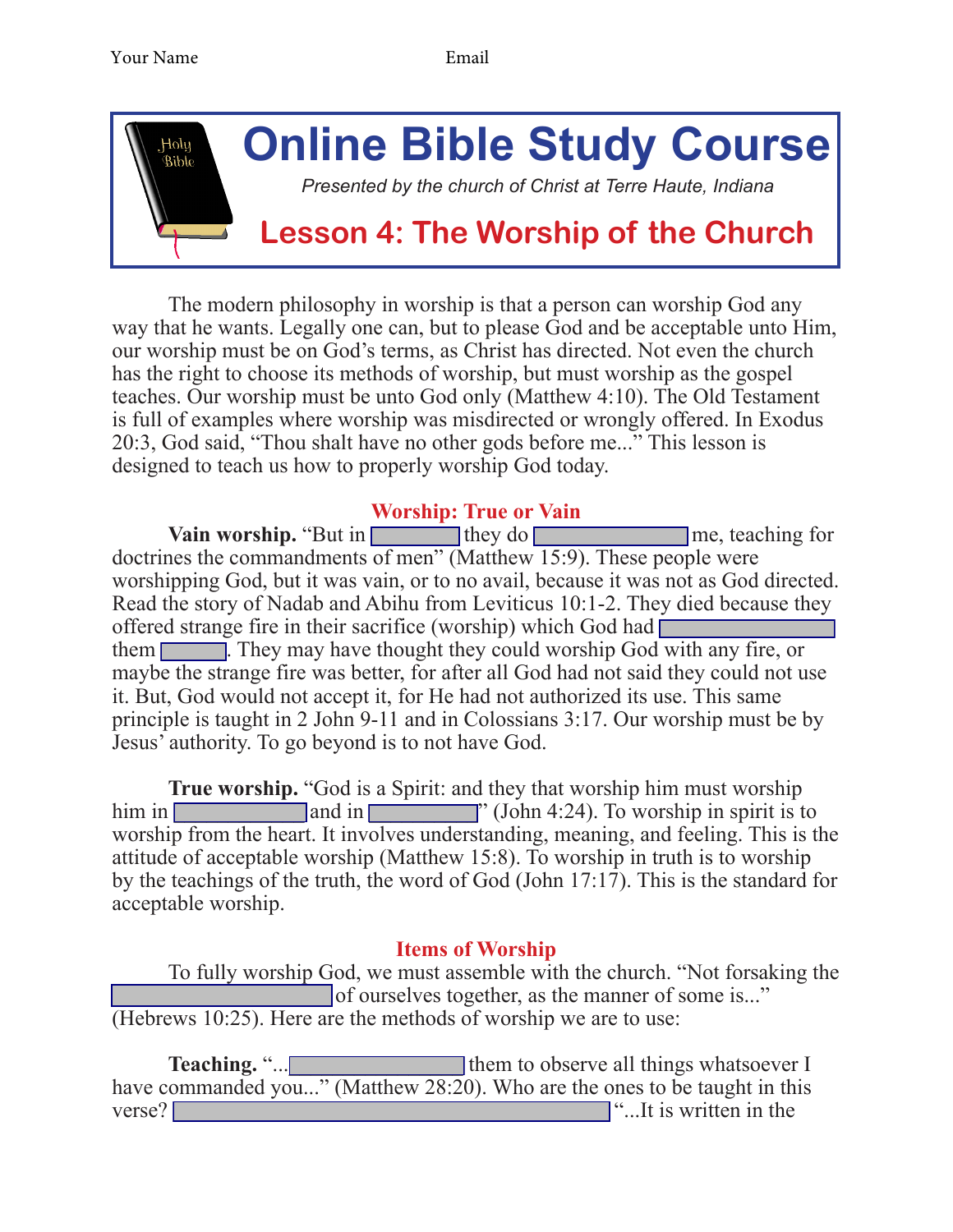

The modern philosophy in worship is that a person can worship God any way that he wants. Legally one can, but to please God and be acceptable unto Him, our worship must be on God's terms, as Christ has directed. Not even the church has the right to choose its methods of worship, but must worship as the gospel teaches. Our worship must be unto God only (Matthew 4:10). The Old Testament is full of examples where worship was misdirected or wrongly offered. In Exodus 20:3, God said, "Thou shalt have no other gods before me..." This lesson is designed to teach us how to properly worship God today.

## **Worship: True or Vain**

**Vain worship.** "But in they do **Example 1** me, teaching for doctrines the commandments of men" (Matthew 15:9). These people were worshipping God, but it was vain, or to no avail, because it was not as God directed. Read the story of Nadab and Abihu from Leviticus 10:1-2. They died because they offered strange fire in their sacrifice (worship) which God had  $\Box$ them **They may have thought they could worship God with any fire, or** maybe the strange fire was better, for after all God had not said they could not use it. But, God would not accept it, for He had not authorized its use. This same principle is taught in 2 John 9-11 and in Colossians 3:17. Our worship must be by Jesus' authority. To go beyond is to not have God.

**True worship.** "God is a Spirit: and they that worship him must worship him in  $\boxed{\phantom{a} \phantom{a}}$  and in  $\boxed{\phantom{a} \phantom{a}}$  (John 4:24). To worship in spirit is to worship from the heart. It involves understanding, meaning, and feeling. This is the attitude of acceptable worship (Matthew 15:8). To worship in truth is to worship by the teachings of the truth, the word of God (John 17:17). This is the standard for acceptable worship.

## **Items of Worship**

To fully worship God, we must assemble with the church. "Not forsaking the of ourselves together, as the manner of some is..." (Hebrews 10:25). Here are the methods of worship we are to use:

**Teaching.** "... have commanded you..." (Matthew 28:20). Who are the ones to be taught in this verse?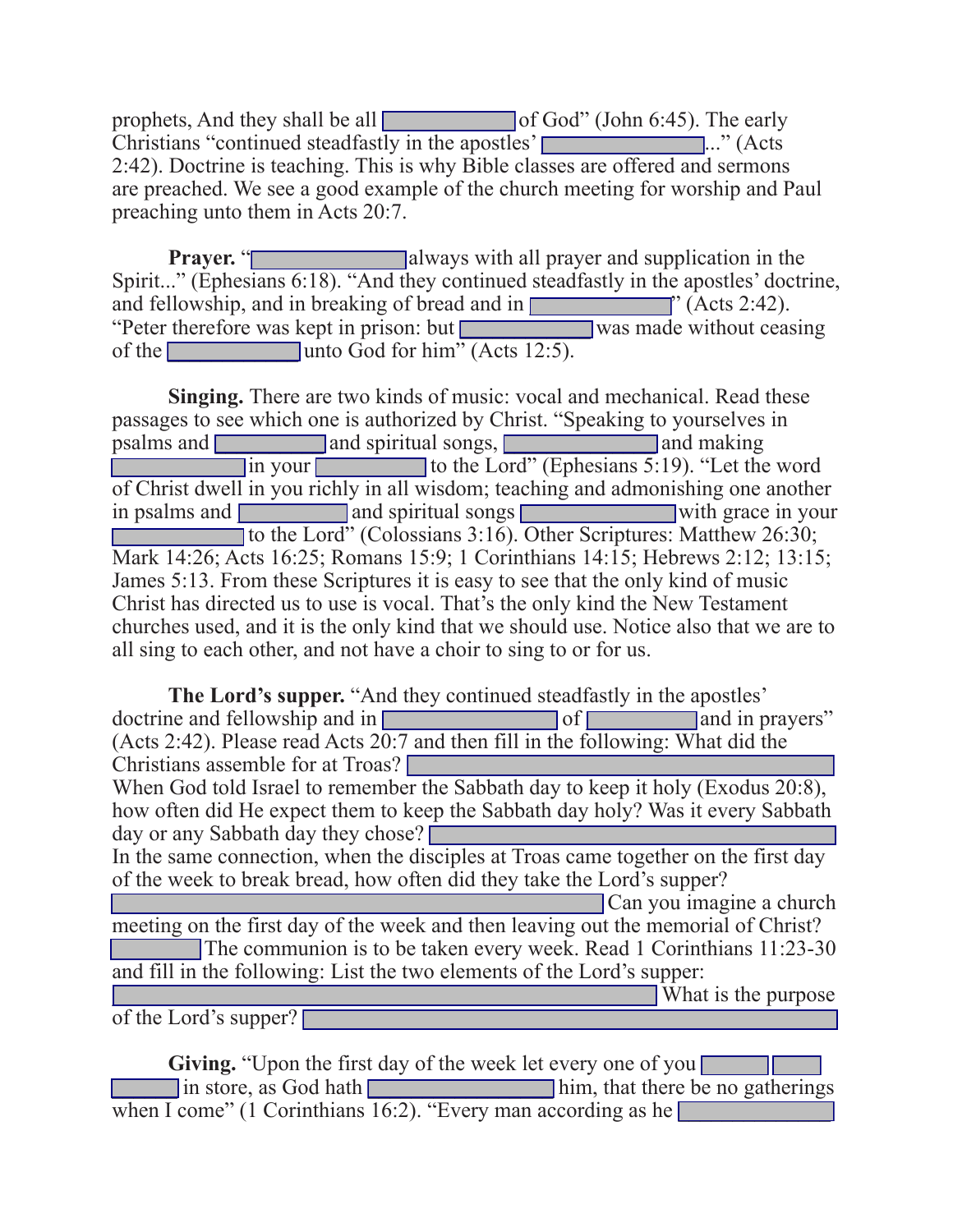prophets, And they shall be all \_\_\_\_\_\_\_\_\_\_\_\_ of God" (John 6:45). The early Christians "continued steadfastly in the apostles'  $\Box$ ..." (Acts 2:42). Doctrine is teaching. This is why Bible classes are offered and sermons are preached. We see a good example of the church meeting for worship and Paul preaching unto them in Acts 20:7.

**Prayer. The Contract Exercise Series and supplication in the Prayer. The Contract Exercise Series Series Series Series Series Series Series Series Series Series Series Series Series Series Series Series Series Series** Spirit..." (Ephesians 6:18). "And they continued steadfastly in the apostles' doctrine, and fellowship, and in breaking of bread and in **Fig. 2.42** and fellowship, and in breaking of bread and in **Fig. 2.42**. "Peter therefore was kept in prison: but was made without ceasing of the  $\Box$  unto God for him" (Acts 12:5).

**Singing.** There are two kinds of music: vocal and mechanical. Read these passages to see which one is authorized by Christ. "Speaking to yourselves in psalms and **a** and spiritual songs, **a** and making In your to the Lord" (Ephesians 5:19). "Let the word of Christ dwell in you richly in all wisdom; teaching and admonishing one another in psalms and **a** and spiritual songs with grace in your to the Lord" (Colossians 3:16). Other Scriptures: Matthew 26:30; Mark 14:26; Acts 16:25; Romans 15:9; 1 Corinthians 14:15; Hebrews 2:12; 13:15; James 5:13. From these Scriptures it is easy to see that the only kind of music Christ has directed us to use is vocal. That's the only kind the New Testament churches used, and it is the only kind that we should use. Notice also that we are to all sing to each other, and not have a choir to sing to or for us.

**The Lord's supper.** "And they continued steadfastly in the apostles' ne and fellowship and in  $\sqrt{\frac{1}{n}}$ doctrine and fellowship and in **a**  $\overline{\phantom{a}}$  of **a** and in prayers" (Acts 2:42). Please read Acts 20:7 and then fill in the following: What did the Christians assemble for at Troas? When God told Israel to remember the Sabbath day to keep it holy (Exodus 20:8), how often did He expect them to keep the Sabbath day holy? Was it every Sabbath day or any Sabbath day they chose?  $\Box$ In the same connection, when the disciples at Troas came together on the first day of the week to break bread, how often did they take the Lord's supper? Can you imagine a church meeting on the first day of the week and then leaving out the memorial of Christ? The communion is to be taken every week. Read 1 Corinthians 11:23-30 and fill in the following: List the two elements of the Lord's supper: \_\_\_\_\_\_\_\_\_\_\_\_\_\_\_\_\_\_\_\_\_\_\_\_\_\_\_\_\_\_\_\_\_\_\_\_\_\_\_\_\_\_\_\_\_\_\_\_\_\_ What is the purpose of the Lord's supper?  $\blacksquare$ 

**Giving.** "Upon the first day of the week let every one of you  $\Box$  in store, as God hath  $\Box$  him, that there be no gatherings when I come" (1 Corinthians  $16:2$ ). "Every man according as he